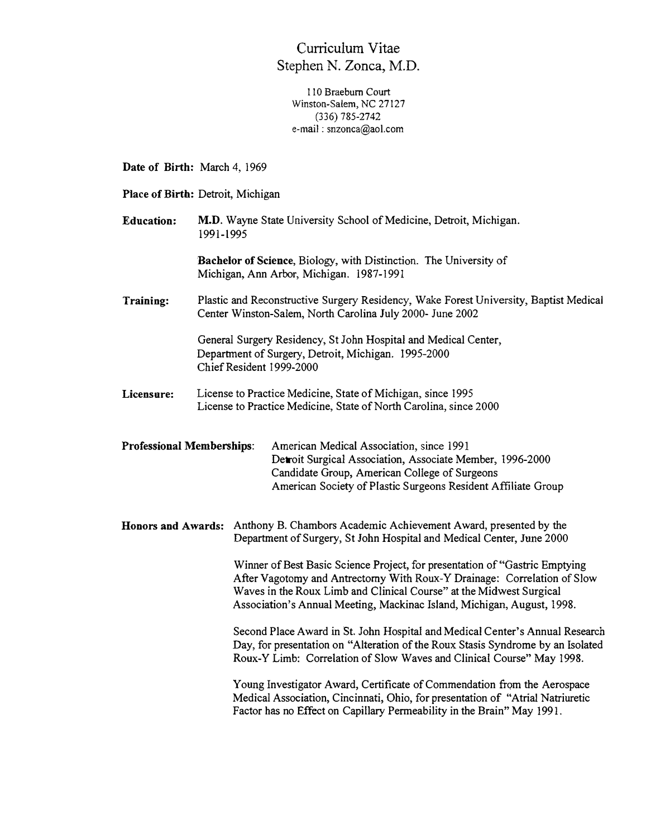## Curriculum Vitae Stephen N. Zonca, M.D.

110 Braeburn Court Winston-Salem, NC 27127 (336) 785-2742 e-mail : snzonca@aol.com

**Date of Birth:** March 4, 1969

**Place of Birth:** Detroit, Michigan

**Education: M-D.** Wayne State University School of Medicine, Detroit, Michigan. 1991-1995

> **Bachelor of Science,** Biology, with Distinction. The University of Michigan, Ann Arbor, Michigan. 1987-1991

**Training:**  Plastic and Reconstructive Surgery Residency, Wake Forest University, Baptist Medical Center Winston-Salem, North Carolina July 2000- June 2002

> General Surgery Residency, St John Hospital and Medical Center, Department of Surgery, Detroit, Michigan. 1995-2000 Chief Resident 1999-2000

**Licensure:**  License to Practice Medicine, State of Michigan, since 1995 License to Practice Medicine, State of North Carolina, since 2000

**Professional Memberships:** American Medical Association, since 1991 Detroit Surgical Association, Associate Member, 1996-2000 Candidate Group, American College of Surgeons American Society of Plastic Surgeons Resident Affiliate Group

**Honors and Awards:** Anthony B. Chambors Academic Achievement Award, presented by the Department of Surgery, St John Hospital and Medical Center, June 2000

> Winner of Best Basic Science Project, for presentation of "Gastric Emptying After Vagotomy and Antrectomy With Roux-Y Drainage: Correlation of Slow Waves in the Roux Limb and Clinical Course" at the Midwest Surgical Association's Annual Meeting, Mackinac Island, Michigan, August, 1998.

Second Place Award in St. John Hospital and Medical Center's Annual Research Day, for presentation on "Alteration of the Roux Stasis Syndrome by an Isolated Roux-Y Limb: Correlation of Slow Waves and Clinical Course" May 1998.

Young Investigator Award, Certificate of Commendation from the Aerospace Medical Association, Cincinnati, Ohio, for presentation of "Atrial Natriuretic Factor has no Effect on Capillary Permeability in the Brain" May 1991.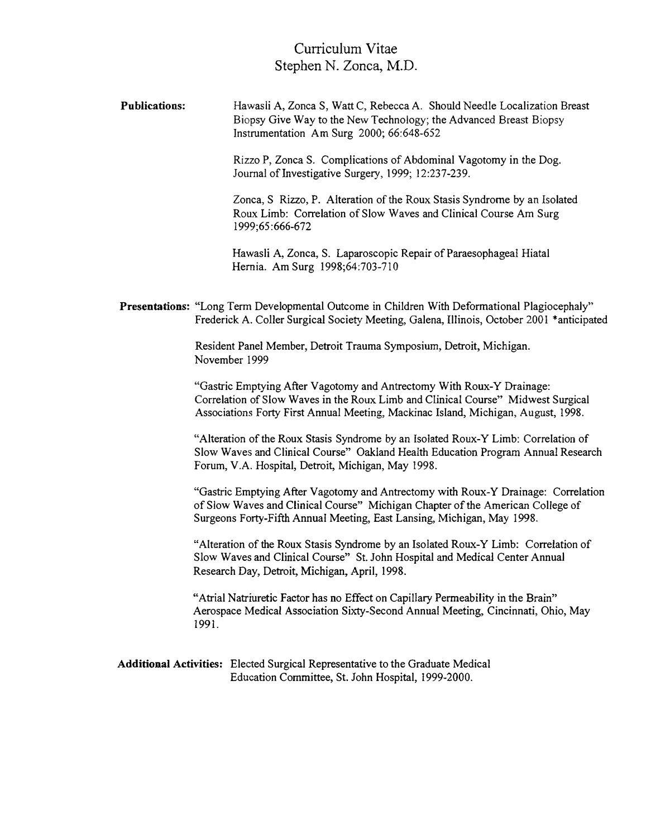Curriculum Vitae Stephen N. Zonca, M.D.

**Publications:**  Hawasli A, Zonca S, Watt C, Rebecca A. Should Needle Localization Breast Biopsy Give Way to the New Technology; the Advanced Breast Biopsy Instrumentation Am Surg 2000; 66:648-652

> Rizzo P, Zonca S. Complications of Abdominal Vagotomy in the Dog. Journal of Investigative Surgery, 1999; 12:237-239.

Zonca, S Rizzo, P. Alteration of the Roux Stasis Syndrome by an Isolated Roux Limb: Correlation of Slow Waves and Clinical Course Am Surg 1999;65 :666-672

Hawasli A, Zonca, S. Laparoscopic Repair of Paraesophageal Hiatal Hernia. Am Surg 1998;64:703-710

**Presentations:** "Long Term Developmental Outcome in Children With Deformational Plagiocephaly" Frederick A. Coller Surgical Society Meeting, Galena, Illinois, October 2001 \*anticipated

> Resident Panel Member, Detroit Trauma Symposium, Detroit, Michigan. November 1999

"Gastric Emptying After Vagotomy and Antrectomy With Roux-Y Drainage: Correlation of Slow Waves in the Roux Limb and Clinical Course" Midwest Surgical Associations Forty First Annual Meeting, Mackinac Island, Michigan, August, 1998.

"Alteration of the Roux Stasis Syndrome by an Isolated Roux-Y Limb: Correlation of Slow Waves and Clinical Course" Oakland Health Education Program Annual Research Forum, V.A. Hospital, Detroit, Michigan, May 1998.

"Gastric Emptying After Vagotomy and Antrectomy with Roux-Y Drainage: Correlation of Slow Waves and Clinical Course" Michigan Chapter of the American College of Surgeons Forty-Fifth Annual Meeting, East Lansing, Michigan, May 1998.

"Alteration of the Roux Stasis Syndrome by an Isolated Roux-Y Limb: Correlation of Slow Waves and Clinical Course" St. John Hospital and Medical Center Annual Research Day, Detroit, Michigan, April, 1998.

"Atrial Natriuretic Factor has no Effect on Capillary Permeability in the Brain" Aerospace Medical Association Sixty-Second Annual Meeting, Cincinnati, Ohio, May 1991.

**Additional Activities:** Elected Surgical Representative to the Graduate Medical Education Committee, St. John Hospital, 1999-2000.